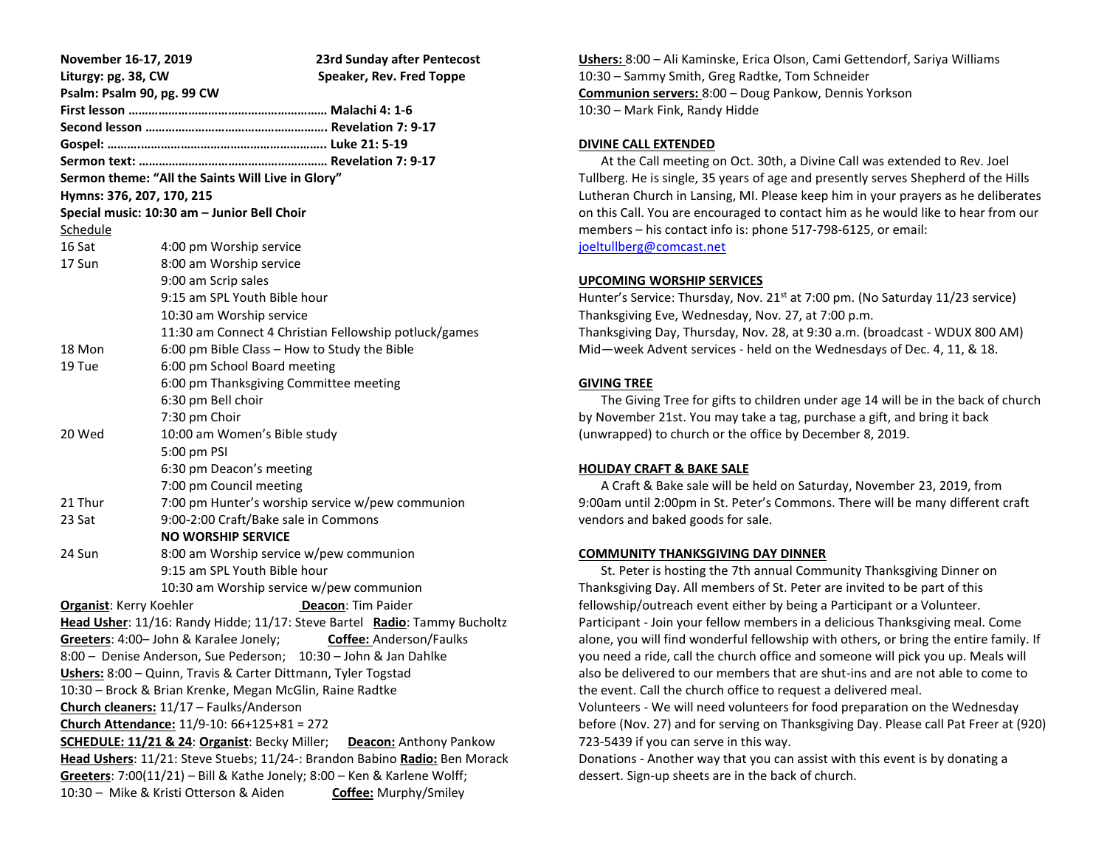| November 16-17, 2019                                                           |                                              | 23rd Sunday after Pentecost                           |
|--------------------------------------------------------------------------------|----------------------------------------------|-------------------------------------------------------|
| Liturgy: pg. 38, CW                                                            |                                              | Speaker, Rev. Fred Toppe                              |
| Psalm: Psalm 90, pg. 99 CW                                                     |                                              |                                                       |
|                                                                                |                                              |                                                       |
|                                                                                |                                              |                                                       |
|                                                                                |                                              |                                                       |
|                                                                                |                                              |                                                       |
| Sermon theme: "All the Saints Will Live in Glory"                              |                                              |                                                       |
| Hymns: 376, 207, 170, 215                                                      |                                              |                                                       |
| Special music: 10:30 am - Junior Bell Choir                                    |                                              |                                                       |
| Schedule                                                                       |                                              |                                                       |
| 16 Sat                                                                         | 4:00 pm Worship service                      |                                                       |
| 17 Sun                                                                         | 8:00 am Worship service                      |                                                       |
|                                                                                | 9:00 am Scrip sales                          |                                                       |
|                                                                                | 9:15 am SPL Youth Bible hour                 |                                                       |
|                                                                                | 10:30 am Worship service                     |                                                       |
|                                                                                |                                              | 11:30 am Connect 4 Christian Fellowship potluck/games |
| 18 Mon                                                                         | 6:00 pm Bible Class - How to Study the Bible |                                                       |
| 19 Tue                                                                         | 6:00 pm School Board meeting                 |                                                       |
|                                                                                | 6:00 pm Thanksgiving Committee meeting       |                                                       |
|                                                                                | 6:30 pm Bell choir                           |                                                       |
|                                                                                | 7:30 pm Choir                                |                                                       |
| 20 Wed                                                                         | 10:00 am Women's Bible study                 |                                                       |
|                                                                                | 5:00 pm PSI                                  |                                                       |
|                                                                                | 6:30 pm Deacon's meeting                     |                                                       |
|                                                                                | 7:00 pm Council meeting                      |                                                       |
| 21 Thur                                                                        |                                              | 7:00 pm Hunter's worship service w/pew communion      |
| 23 Sat                                                                         | 9:00-2:00 Craft/Bake sale in Commons         |                                                       |
|                                                                                | <b>NO WORSHIP SERVICE</b>                    |                                                       |
| 24 Sun                                                                         | 8:00 am Worship service w/pew communion      |                                                       |
|                                                                                | 9:15 am SPL Youth Bible hour                 |                                                       |
|                                                                                | 10:30 am Worship service w/pew communion     |                                                       |
| <b>Organist:</b> Kerry Koehler<br>Deacon: Tim Paider                           |                                              |                                                       |
| Head Usher: 11/16: Randy Hidde; 11/17: Steve Bartel Radio: Tammy Bucholtz      |                                              |                                                       |
| Greeters: 4:00- John & Karalee Jonely;<br><b>Coffee: Anderson/Faulks</b>       |                                              |                                                       |
| 8:00 - Denise Anderson, Sue Pederson; 10:30 - John & Jan Dahlke                |                                              |                                                       |
| Ushers: 8:00 - Quinn, Travis & Carter Dittmann, Tyler Togstad                  |                                              |                                                       |
| 10:30 – Brock & Brian Krenke, Megan McGlin, Raine Radtke                       |                                              |                                                       |
| Church cleaners: 11/17 - Faulks/Anderson                                       |                                              |                                                       |
| Church Attendance: 11/9-10: 66+125+81 = 272                                    |                                              |                                                       |
| SCHEDULE: 11/21 & 24: Organist: Becky Miller;<br><b>Deacon: Anthony Pankow</b> |                                              |                                                       |
| Head Ushers: 11/21: Steve Stuebs; 11/24-: Brandon Babino Radio: Ben Morack     |                                              |                                                       |
| Greeters: 7:00(11/21) - Bill & Kathe Jonely; 8:00 - Ken & Karlene Wolff;       |                                              |                                                       |
| 10:30 - Mike & Kristi Otterson & Aiden<br><b>Coffee: Murphy/Smiley</b>         |                                              |                                                       |

**Ushers:** 8:00 – Ali Kaminske, Erica Olson, Cami Gettendorf, Sariya Williams 10:30 – Sammy Smith, Greg Radtke, Tom Schneider **Communion servers:** 8:00 – Doug Pankow, Dennis Yorkson 10:30 – Mark Fink, Randy Hidde

# **DIVINE CALL EXTENDED**

 At the Call meeting on Oct. 30th, a Divine Call was extended to Rev. Joel Tullberg. He is single, 35 years of age and presently serves Shepherd of the Hills Lutheran Church in Lansing, MI. Please keep him in your prayers as he deliberates on this Call. You are encouraged to contact him as he would like to hear from our members – his contact info is: phone 517-798-6125, or email: [joeltullberg@comcast.net](mailto:joeltullberg@comcast.net)

## **UPCOMING WORSHIP SERVICES**

Hunter's Service: Thursday, Nov. 21<sup>st</sup> at 7:00 pm. (No Saturday 11/23 service) Thanksgiving Eve, Wednesday, Nov. 27, at 7:00 p.m. Thanksgiving Day, Thursday, Nov. 28, at 9:30 a.m. (broadcast - WDUX 800 AM) Mid—week Advent services - held on the Wednesdays of Dec. 4, 11, & 18.

## **GIVING TREE**

 The Giving Tree for gifts to children under age 14 will be in the back of church by November 21st. You may take a tag, purchase a gift, and bring it back (unwrapped) to church or the office by December 8, 2019.

## **HOLIDAY CRAFT & BAKE SALE**

 A Craft & Bake sale will be held on Saturday, November 23, 2019, from 9:00am until 2:00pm in St. Peter's Commons. There will be many different craft vendors and baked goods for sale.

## **COMMUNITY THANKSGIVING DAY DINNER**

 St. Peter is hosting the 7th annual Community Thanksgiving Dinner on Thanksgiving Day. All members of St. Peter are invited to be part of this fellowship/outreach event either by being a Participant or a Volunteer. Participant - Join your fellow members in a delicious Thanksgiving meal. Come alone, you will find wonderful fellowship with others, or bring the entire family. If you need a ride, call the church office and someone will pick you up. Meals will also be delivered to our members that are shut-ins and are not able to come to the event. Call the church office to request a delivered meal.

Volunteers - We will need volunteers for food preparation on the Wednesday before (Nov. 27) and for serving on Thanksgiving Day. Please call Pat Freer at (920) 723-5439 if you can serve in this way.

Donations - Another way that you can assist with this event is by donating a dessert. Sign-up sheets are in the back of church.